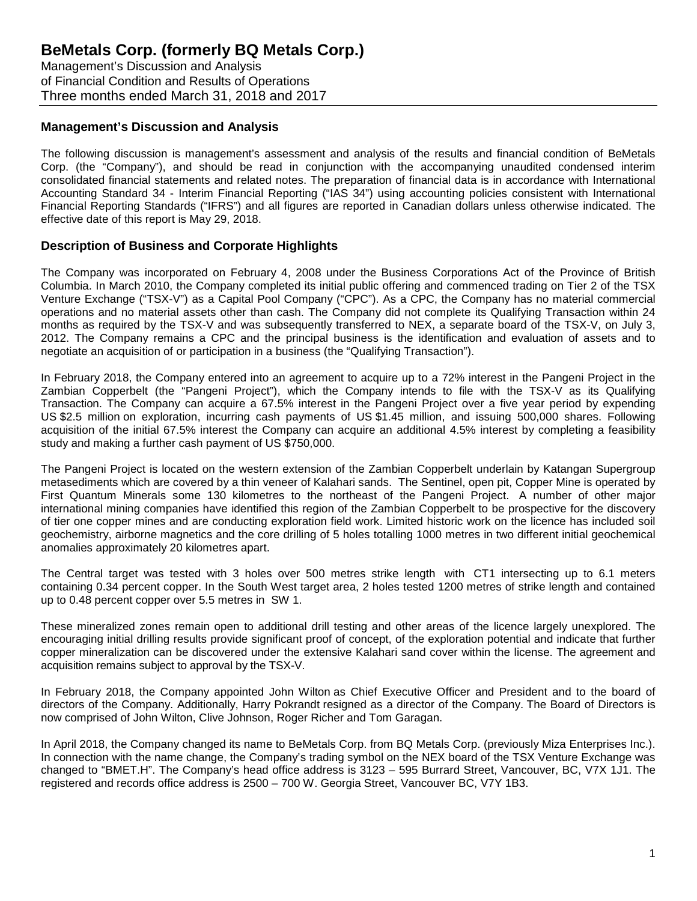Management's Discussion and Analysis of Financial Condition and Results of Operations Three months ended March 31, 2018 and 2017

## **Management's Discussion and Analysis**

The following discussion is management's assessment and analysis of the results and financial condition of BeMetals Corp. (the "Company"), and should be read in conjunction with the accompanying unaudited condensed interim consolidated financial statements and related notes. The preparation of financial data is in accordance with International Accounting Standard 34 - Interim Financial Reporting ("IAS 34") using accounting policies consistent with International Financial Reporting Standards ("IFRS") and all figures are reported in Canadian dollars unless otherwise indicated. The effective date of this report is May 29, 2018.

### **Description of Business and Corporate Highlights**

The Company was incorporated on February 4, 2008 under the Business Corporations Act of the Province of British Columbia. In March 2010, the Company completed its initial public offering and commenced trading on Tier 2 of the TSX Venture Exchange ("TSX-V") as a Capital Pool Company ("CPC"). As a CPC, the Company has no material commercial operations and no material assets other than cash. The Company did not complete its Qualifying Transaction within 24 months as required by the TSX-V and was subsequently transferred to NEX, a separate board of the TSX-V, on July 3, 2012. The Company remains a CPC and the principal business is the identification and evaluation of assets and to negotiate an acquisition of or participation in a business (the "Qualifying Transaction").

In February 2018, the Company entered into an agreement to acquire up to a 72% interest in the Pangeni Project in the Zambian Copperbelt (the "Pangeni Project"), which the Company intends to file with the TSX-V as its Qualifying Transaction. The Company can acquire a 67.5% interest in the Pangeni Project over a five year period by expending US \$2.5 million on exploration, incurring cash payments of US \$1.45 million, and issuing 500,000 shares. Following acquisition of the initial 67.5% interest the Company can acquire an additional 4.5% interest by completing a feasibility study and making a further cash payment of US \$750,000.

The Pangeni Project is located on the western extension of the Zambian Copperbelt underlain by Katangan Supergroup metasediments which are covered by a thin veneer of Kalahari sands. The Sentinel, open pit, Copper Mine is operated by First Quantum Minerals some 130 kilometres to the northeast of the Pangeni Project. A number of other major international mining companies have identified this region of the Zambian Copperbelt to be prospective for the discovery of tier one copper mines and are conducting exploration field work. Limited historic work on the licence has included soil geochemistry, airborne magnetics and the core drilling of 5 holes totalling 1000 metres in two different initial geochemical anomalies approximately 20 kilometres apart.

The Central target was tested with 3 holes over 500 metres strike length with CT1 intersecting up to 6.1 meters containing 0.34 percent copper. In the South West target area, 2 holes tested 1200 metres of strike length and contained up to 0.48 percent copper over 5.5 metres in SW 1.

These mineralized zones remain open to additional drill testing and other areas of the licence largely unexplored. The encouraging initial drilling results provide significant proof of concept, of the exploration potential and indicate that further copper mineralization can be discovered under the extensive Kalahari sand cover within the license. The agreement and acquisition remains subject to approval by the TSX-V.

In February 2018, the Company appointed John Wilton as Chief Executive Officer and President and to the board of directors of the Company. Additionally, Harry Pokrandt resigned as a director of the Company. The Board of Directors is now comprised of John Wilton, Clive Johnson, Roger Richer and Tom Garagan.

In April 2018, the Company changed its name to BeMetals Corp. from BQ Metals Corp. (previously Miza Enterprises Inc.). In connection with the name change, the Company's trading symbol on the NEX board of the TSX Venture Exchange was changed to "BMET.H". The Company's head office address is 3123 – 595 Burrard Street, Vancouver, BC, V7X 1J1. The registered and records office address is 2500 – 700 W. Georgia Street, Vancouver BC, V7Y 1B3.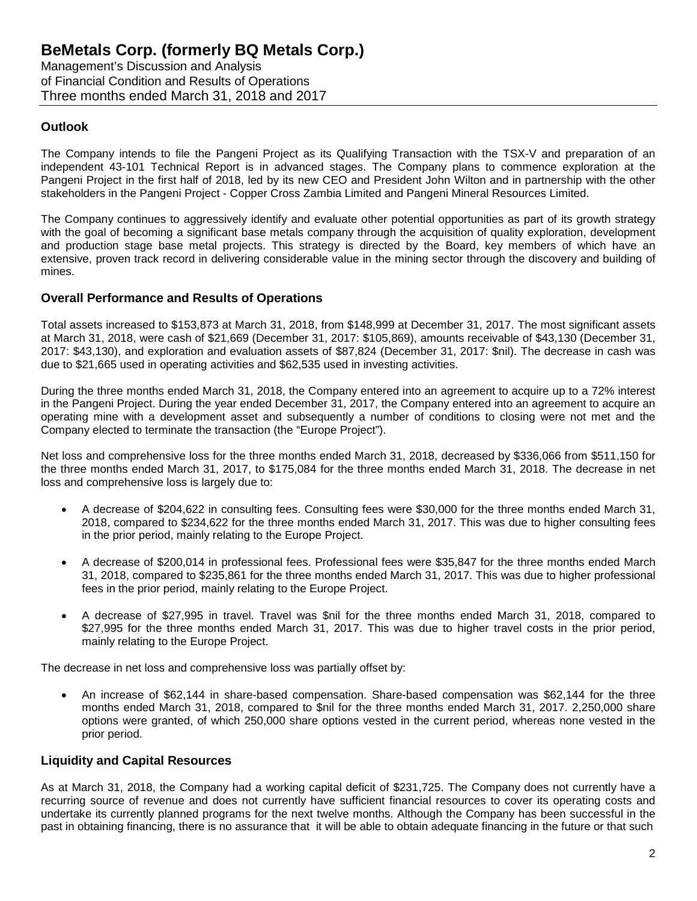Management's Discussion and Analysis of Financial Condition and Results of Operations Three months ended March 31, 2018 and 2017

## **Outlook**

The Company intends to file the Pangeni Project as its Qualifying Transaction with the TSX-V and preparation of an independent 43-101 Technical Report is in advanced stages. The Company plans to commence exploration at the Pangeni Project in the first half of 2018, led by its new CEO and President John Wilton and in partnership with the other stakeholders in the Pangeni Project - Copper Cross Zambia Limited and Pangeni Mineral Resources Limited.

The Company continues to aggressively identify and evaluate other potential opportunities as part of its growth strategy with the goal of becoming a significant base metals company through the acquisition of quality exploration, development and production stage base metal projects. This strategy is directed by the Board, key members of which have an extensive, proven track record in delivering considerable value in the mining sector through the discovery and building of mines.

## **Overall Performance and Results of Operations**

Total assets increased to \$153,873 at March 31, 2018, from \$148,999 at December 31, 2017. The most significant assets at March 31, 2018, were cash of \$21,669 (December 31, 2017: \$105,869), amounts receivable of \$43,130 (December 31, 2017: \$43,130), and exploration and evaluation assets of \$87,824 (December 31, 2017: \$nil). The decrease in cash was due to \$21,665 used in operating activities and \$62,535 used in investing activities.

During the three months ended March 31, 2018, the Company entered into an agreement to acquire up to a 72% interest in the Pangeni Project. During the year ended December 31, 2017, the Company entered into an agreement to acquire an operating mine with a development asset and subsequently a number of conditions to closing were not met and the Company elected to terminate the transaction (the "Europe Project").

Net loss and comprehensive loss for the three months ended March 31, 2018, decreased by \$336,066 from \$511,150 for the three months ended March 31, 2017, to \$175,084 for the three months ended March 31, 2018. The decrease in net loss and comprehensive loss is largely due to:

- A decrease of \$204,622 in consulting fees. Consulting fees were \$30,000 for the three months ended March 31, 2018, compared to \$234,622 for the three months ended March 31, 2017. This was due to higher consulting fees in the prior period, mainly relating to the Europe Project.
- A decrease of \$200,014 in professional fees. Professional fees were \$35,847 for the three months ended March 31, 2018, compared to \$235,861 for the three months ended March 31, 2017. This was due to higher professional fees in the prior period, mainly relating to the Europe Project.
- A decrease of \$27,995 in travel. Travel was \$nil for the three months ended March 31, 2018, compared to \$27,995 for the three months ended March 31, 2017. This was due to higher travel costs in the prior period, mainly relating to the Europe Project.

The decrease in net loss and comprehensive loss was partially offset by:

• An increase of \$62,144 in share-based compensation. Share-based compensation was \$62,144 for the three months ended March 31, 2018, compared to \$nil for the three months ended March 31, 2017. 2,250,000 share options were granted, of which 250,000 share options vested in the current period, whereas none vested in the prior period.

## **Liquidity and Capital Resources**

As at March 31, 2018, the Company had a working capital deficit of \$231,725. The Company does not currently have a recurring source of revenue and does not currently have sufficient financial resources to cover its operating costs and undertake its currently planned programs for the next twelve months. Although the Company has been successful in the past in obtaining financing, there is no assurance that it will be able to obtain adequate financing in the future or that such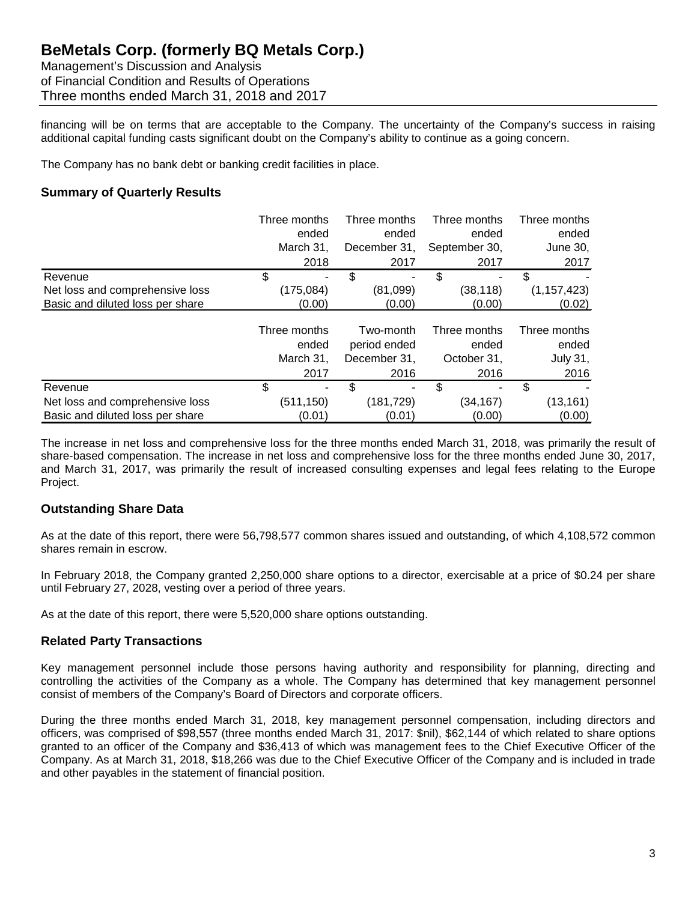Management's Discussion and Analysis of Financial Condition and Results of Operations Three months ended March 31, 2018 and 2017

financing will be on terms that are acceptable to the Company. The uncertainty of the Company's success in raising additional capital funding casts significant doubt on the Company's ability to continue as a going concern.

The Company has no bank debt or banking credit facilities in place.

## **Summary of Quarterly Results**

|                                  | Three months | Three months |            | Three months  | Three months  |
|----------------------------------|--------------|--------------|------------|---------------|---------------|
|                                  | ended        |              | ended      | ended         | ended         |
|                                  | March 31,    | December 31, |            | September 30, | June 30,      |
|                                  | 2018         |              | 2017       | 2017          | 2017          |
| Revenue                          | \$           | \$           | ٠          | \$            | \$            |
| Net loss and comprehensive loss  | (175, 084)   |              | (81,099)   | (38, 118)     | (1, 157, 423) |
| Basic and diluted loss per share | (0.00)       |              | (0.00)     | (0.00)        | (0.02)        |
|                                  | Three months |              | Two-month  | Three months  | Three months  |
|                                  | ended        | period ended |            | ended         | ended         |
|                                  | March 31,    | December 31, |            | October 31,   | July 31,      |
|                                  | 2017         |              | 2016       | 2016          | 2016          |
| Revenue                          | \$           | \$           | ۰          | \$            | \$            |
| Net loss and comprehensive loss  | (511,150)    |              | (181, 729) | (34, 167)     | (13, 161)     |
| Basic and diluted loss per share | (0.01)       |              | (0.01)     | (0.00)        | (0.00)        |

The increase in net loss and comprehensive loss for the three months ended March 31, 2018, was primarily the result of share-based compensation. The increase in net loss and comprehensive loss for the three months ended June 30, 2017, and March 31, 2017, was primarily the result of increased consulting expenses and legal fees relating to the Europe Project.

## **Outstanding Share Data**

As at the date of this report, there were 56,798,577 common shares issued and outstanding, of which 4,108,572 common shares remain in escrow.

In February 2018, the Company granted 2,250,000 share options to a director, exercisable at a price of \$0.24 per share until February 27, 2028, vesting over a period of three years.

As at the date of this report, there were 5,520,000 share options outstanding.

## **Related Party Transactions**

Key management personnel include those persons having authority and responsibility for planning, directing and controlling the activities of the Company as a whole. The Company has determined that key management personnel consist of members of the Company's Board of Directors and corporate officers.

During the three months ended March 31, 2018, key management personnel compensation, including directors and officers, was comprised of \$98,557 (three months ended March 31, 2017: \$nil), \$62,144 of which related to share options granted to an officer of the Company and \$36,413 of which was management fees to the Chief Executive Officer of the Company. As at March 31, 2018, \$18,266 was due to the Chief Executive Officer of the Company and is included in trade and other payables in the statement of financial position.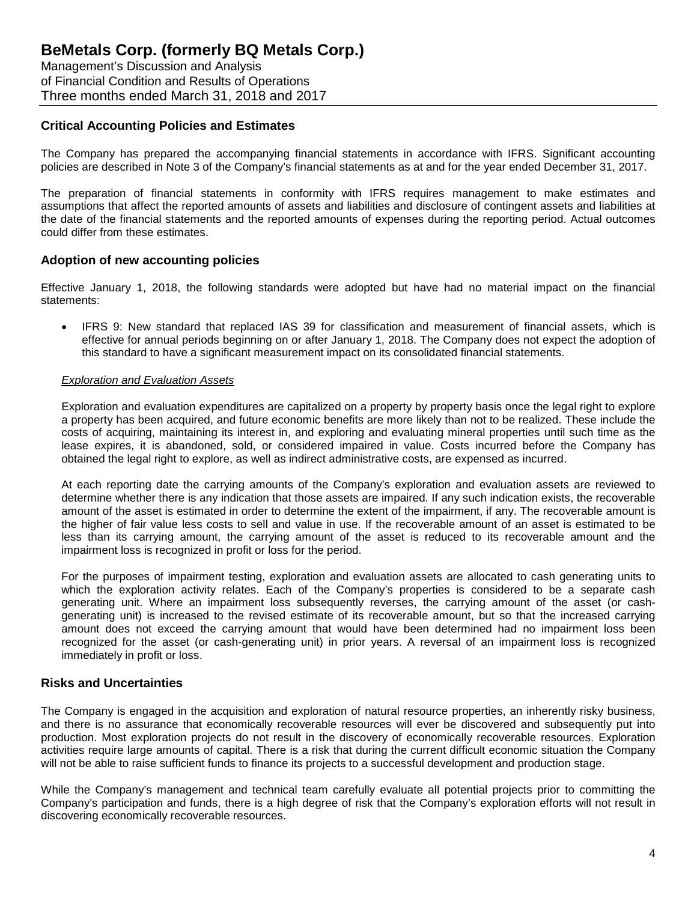Management's Discussion and Analysis of Financial Condition and Results of Operations Three months ended March 31, 2018 and 2017

## **Critical Accounting Policies and Estimates**

The Company has prepared the accompanying financial statements in accordance with IFRS. Significant accounting policies are described in Note 3 of the Company's financial statements as at and for the year ended December 31, 2017.

The preparation of financial statements in conformity with IFRS requires management to make estimates and assumptions that affect the reported amounts of assets and liabilities and disclosure of contingent assets and liabilities at the date of the financial statements and the reported amounts of expenses during the reporting period. Actual outcomes could differ from these estimates.

## **Adoption of new accounting policies**

Effective January 1, 2018, the following standards were adopted but have had no material impact on the financial statements:

• IFRS 9: New standard that replaced IAS 39 for classification and measurement of financial assets, which is effective for annual periods beginning on or after January 1, 2018. The Company does not expect the adoption of this standard to have a significant measurement impact on its consolidated financial statements.

#### *Exploration and Evaluation Assets*

Exploration and evaluation expenditures are capitalized on a property by property basis once the legal right to explore a property has been acquired, and future economic benefits are more likely than not to be realized. These include the costs of acquiring, maintaining its interest in, and exploring and evaluating mineral properties until such time as the lease expires, it is abandoned, sold, or considered impaired in value. Costs incurred before the Company has obtained the legal right to explore, as well as indirect administrative costs, are expensed as incurred.

At each reporting date the carrying amounts of the Company's exploration and evaluation assets are reviewed to determine whether there is any indication that those assets are impaired. If any such indication exists, the recoverable amount of the asset is estimated in order to determine the extent of the impairment, if any. The recoverable amount is the higher of fair value less costs to sell and value in use. If the recoverable amount of an asset is estimated to be less than its carrying amount, the carrying amount of the asset is reduced to its recoverable amount and the impairment loss is recognized in profit or loss for the period.

For the purposes of impairment testing, exploration and evaluation assets are allocated to cash generating units to which the exploration activity relates. Each of the Company's properties is considered to be a separate cash generating unit. Where an impairment loss subsequently reverses, the carrying amount of the asset (or cashgenerating unit) is increased to the revised estimate of its recoverable amount, but so that the increased carrying amount does not exceed the carrying amount that would have been determined had no impairment loss been recognized for the asset (or cash-generating unit) in prior years. A reversal of an impairment loss is recognized immediately in profit or loss.

### **Risks and Uncertainties**

The Company is engaged in the acquisition and exploration of natural resource properties, an inherently risky business, and there is no assurance that economically recoverable resources will ever be discovered and subsequently put into production. Most exploration projects do not result in the discovery of economically recoverable resources. Exploration activities require large amounts of capital. There is a risk that during the current difficult economic situation the Company will not be able to raise sufficient funds to finance its projects to a successful development and production stage.

While the Company's management and technical team carefully evaluate all potential projects prior to committing the Company's participation and funds, there is a high degree of risk that the Company's exploration efforts will not result in discovering economically recoverable resources.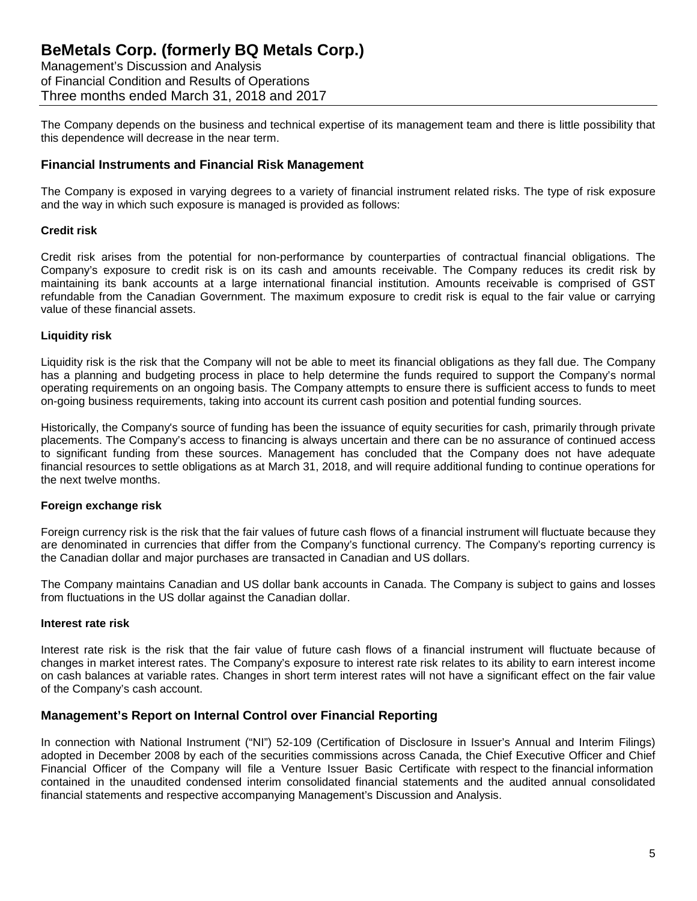Management's Discussion and Analysis of Financial Condition and Results of Operations Three months ended March 31, 2018 and 2017

The Company depends on the business and technical expertise of its management team and there is little possibility that this dependence will decrease in the near term.

## **Financial Instruments and Financial Risk Management**

The Company is exposed in varying degrees to a variety of financial instrument related risks. The type of risk exposure and the way in which such exposure is managed is provided as follows:

#### **Credit risk**

Credit risk arises from the potential for non-performance by counterparties of contractual financial obligations. The Company's exposure to credit risk is on its cash and amounts receivable. The Company reduces its credit risk by maintaining its bank accounts at a large international financial institution. Amounts receivable is comprised of GST refundable from the Canadian Government. The maximum exposure to credit risk is equal to the fair value or carrying value of these financial assets.

### **Liquidity risk**

Liquidity risk is the risk that the Company will not be able to meet its financial obligations as they fall due. The Company has a planning and budgeting process in place to help determine the funds required to support the Company's normal operating requirements on an ongoing basis. The Company attempts to ensure there is sufficient access to funds to meet on-going business requirements, taking into account its current cash position and potential funding sources.

Historically, the Company's source of funding has been the issuance of equity securities for cash, primarily through private placements. The Company's access to financing is always uncertain and there can be no assurance of continued access to significant funding from these sources. Management has concluded that the Company does not have adequate financial resources to settle obligations as at March 31, 2018, and will require additional funding to continue operations for the next twelve months.

### **Foreign exchange risk**

Foreign currency risk is the risk that the fair values of future cash flows of a financial instrument will fluctuate because they are denominated in currencies that differ from the Company's functional currency. The Company's reporting currency is the Canadian dollar and major purchases are transacted in Canadian and US dollars.

The Company maintains Canadian and US dollar bank accounts in Canada. The Company is subject to gains and losses from fluctuations in the US dollar against the Canadian dollar.

#### **Interest rate risk**

Interest rate risk is the risk that the fair value of future cash flows of a financial instrument will fluctuate because of changes in market interest rates. The Company's exposure to interest rate risk relates to its ability to earn interest income on cash balances at variable rates. Changes in short term interest rates will not have a significant effect on the fair value of the Company's cash account.

### **Management's Report on Internal Control over Financial Reporting**

In connection with National Instrument ("NI") 52-109 (Certification of Disclosure in Issuer's Annual and Interim Filings) adopted in December 2008 by each of the securities commissions across Canada, the Chief Executive Officer and Chief Financial Officer of the Company will file a Venture Issuer Basic Certificate with respect to the financial information contained in the unaudited condensed interim consolidated financial statements and the audited annual consolidated financial statements and respective accompanying Management's Discussion and Analysis.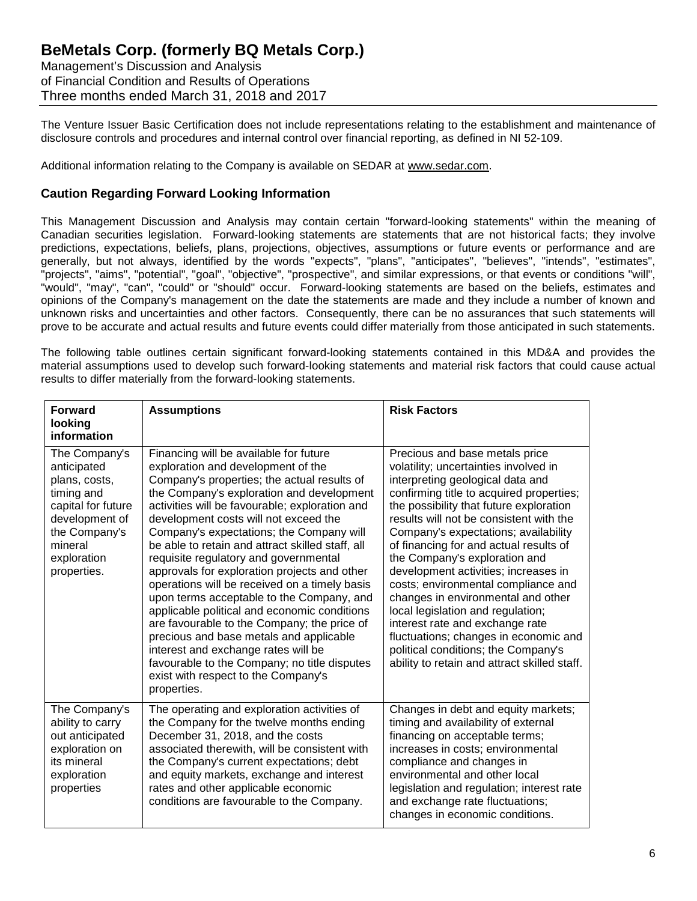Management's Discussion and Analysis of Financial Condition and Results of Operations Three months ended March 31, 2018 and 2017

The Venture Issuer Basic Certification does not include representations relating to the establishment and maintenance of disclosure controls and procedures and internal control over financial reporting, as defined in NI 52-109.

Additional information relating to the Company is available on SEDAR at [www.sedar.com.](http://www.sedar.com/)

## **Caution Regarding Forward Looking Information**

This Management Discussion and Analysis may contain certain "forward-looking statements" within the meaning of Canadian securities legislation. Forward-looking statements are statements that are not historical facts; they involve predictions, expectations, beliefs, plans, projections, objectives, assumptions or future events or performance and are generally, but not always, identified by the words "expects", "plans", "anticipates", "believes", "intends", "estimates", "projects", "aims", "potential", "goal", "objective", "prospective", and similar expressions, or that events or conditions "will", "would", "may", "can", "could" or "should" occur. Forward-looking statements are based on the beliefs, estimates and opinions of the Company's management on the date the statements are made and they include a number of known and unknown risks and uncertainties and other factors. Consequently, there can be no assurances that such statements will prove to be accurate and actual results and future events could differ materially from those anticipated in such statements.

The following table outlines certain significant forward-looking statements contained in this MD&A and provides the material assumptions used to develop such forward-looking statements and material risk factors that could cause actual results to differ materially from the forward-looking statements.

| <b>Forward</b><br>looking<br>information                                                                                                                      | <b>Assumptions</b>                                                                                                                                                                                                                                                                                                                                                                                                                                                                                                                                                                                                                                                                                                                                                                                                                                | <b>Risk Factors</b>                                                                                                                                                                                                                                                                                                                                                                                                                                                                                                                                                                                                                                                                           |
|---------------------------------------------------------------------------------------------------------------------------------------------------------------|---------------------------------------------------------------------------------------------------------------------------------------------------------------------------------------------------------------------------------------------------------------------------------------------------------------------------------------------------------------------------------------------------------------------------------------------------------------------------------------------------------------------------------------------------------------------------------------------------------------------------------------------------------------------------------------------------------------------------------------------------------------------------------------------------------------------------------------------------|-----------------------------------------------------------------------------------------------------------------------------------------------------------------------------------------------------------------------------------------------------------------------------------------------------------------------------------------------------------------------------------------------------------------------------------------------------------------------------------------------------------------------------------------------------------------------------------------------------------------------------------------------------------------------------------------------|
| The Company's<br>anticipated<br>plans, costs,<br>timing and<br>capital for future<br>development of<br>the Company's<br>mineral<br>exploration<br>properties. | Financing will be available for future<br>exploration and development of the<br>Company's properties; the actual results of<br>the Company's exploration and development<br>activities will be favourable; exploration and<br>development costs will not exceed the<br>Company's expectations; the Company will<br>be able to retain and attract skilled staff, all<br>requisite regulatory and governmental<br>approvals for exploration projects and other<br>operations will be received on a timely basis<br>upon terms acceptable to the Company, and<br>applicable political and economic conditions<br>are favourable to the Company; the price of<br>precious and base metals and applicable<br>interest and exchange rates will be<br>favourable to the Company; no title disputes<br>exist with respect to the Company's<br>properties. | Precious and base metals price<br>volatility; uncertainties involved in<br>interpreting geological data and<br>confirming title to acquired properties;<br>the possibility that future exploration<br>results will not be consistent with the<br>Company's expectations; availability<br>of financing for and actual results of<br>the Company's exploration and<br>development activities; increases in<br>costs; environmental compliance and<br>changes in environmental and other<br>local legislation and regulation;<br>interest rate and exchange rate<br>fluctuations; changes in economic and<br>political conditions; the Company's<br>ability to retain and attract skilled staff. |
| The Company's<br>ability to carry<br>out anticipated<br>exploration on<br>its mineral<br>exploration<br>properties                                            | The operating and exploration activities of<br>the Company for the twelve months ending<br>December 31, 2018, and the costs<br>associated therewith, will be consistent with<br>the Company's current expectations; debt<br>and equity markets, exchange and interest<br>rates and other applicable economic<br>conditions are favourable to the Company.                                                                                                                                                                                                                                                                                                                                                                                                                                                                                         | Changes in debt and equity markets;<br>timing and availability of external<br>financing on acceptable terms;<br>increases in costs; environmental<br>compliance and changes in<br>environmental and other local<br>legislation and regulation; interest rate<br>and exchange rate fluctuations;<br>changes in economic conditions.                                                                                                                                                                                                                                                                                                                                                            |